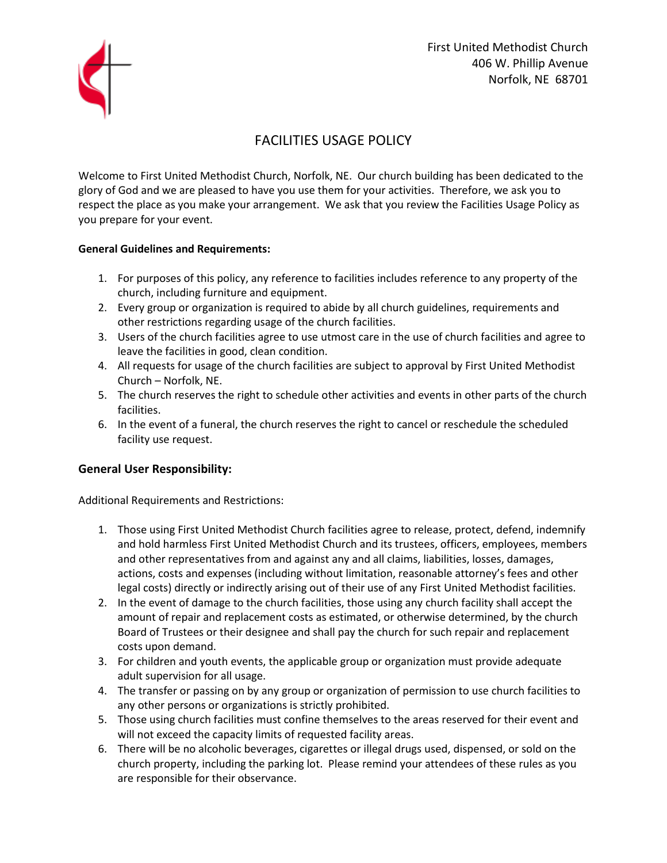

## FACILITIES USAGE POLICY

Welcome to First United Methodist Church, Norfolk, NE. Our church building has been dedicated to the glory of God and we are pleased to have you use them for your activities. Therefore, we ask you to respect the place as you make your arrangement. We ask that you review the Facilities Usage Policy as you prepare for your event.

## **General Guidelines and Requirements:**

- 1. For purposes of this policy, any reference to facilities includes reference to any property of the church, including furniture and equipment.
- 2. Every group or organization is required to abide by all church guidelines, requirements and other restrictions regarding usage of the church facilities.
- 3. Users of the church facilities agree to use utmost care in the use of church facilities and agree to leave the facilities in good, clean condition.
- 4. All requests for usage of the church facilities are subject to approval by First United Methodist Church – Norfolk, NE.
- 5. The church reserves the right to schedule other activities and events in other parts of the church facilities.
- 6. In the event of a funeral, the church reserves the right to cancel or reschedule the scheduled facility use request.

## **General User Responsibility:**

Additional Requirements and Restrictions:

- 1. Those using First United Methodist Church facilities agree to release, protect, defend, indemnify and hold harmless First United Methodist Church and its trustees, officers, employees, members and other representatives from and against any and all claims, liabilities, losses, damages, actions, costs and expenses (including without limitation, reasonable attorney's fees and other legal costs) directly or indirectly arising out of their use of any First United Methodist facilities.
- 2. In the event of damage to the church facilities, those using any church facility shall accept the amount of repair and replacement costs as estimated, or otherwise determined, by the church Board of Trustees or their designee and shall pay the church for such repair and replacement costs upon demand.
- 3. For children and youth events, the applicable group or organization must provide adequate adult supervision for all usage.
- 4. The transfer or passing on by any group or organization of permission to use church facilities to any other persons or organizations is strictly prohibited.
- 5. Those using church facilities must confine themselves to the areas reserved for their event and will not exceed the capacity limits of requested facility areas.
- 6. There will be no alcoholic beverages, cigarettes or illegal drugs used, dispensed, or sold on the church property, including the parking lot. Please remind your attendees of these rules as you are responsible for their observance.